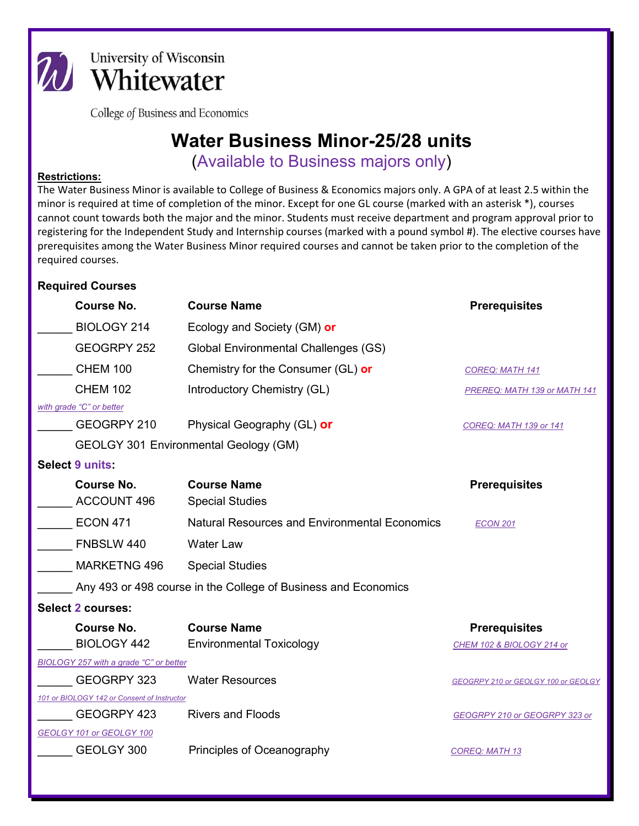

University of Wisconsin *M* University of Wisconsin

College of Business and Economics

## **Water Business Minor-25/28 units**

(Available to Business majors only)

## **Restrictions:**

The Water Business Minor is available to College of Business & Economics majors only. A GPA of at least 2.5 within the minor is required at time of completion of the minor. Except for one GL course (marked with an asterisk \*), courses cannot count towards both the major and the minor. Students must receive department and program approval prior to registering for the Independent Study and Internship courses (marked with a pound symbol #). The elective courses have prerequisites among the Water Business Minor required courses and cannot be taken prior to the completion of the required courses.

## **Required Courses**

| <b>Course No.</b>                                              | <b>Course Name</b>                                   | <b>Prerequisites</b>                |
|----------------------------------------------------------------|------------------------------------------------------|-------------------------------------|
| BIOLOGY 214                                                    | Ecology and Society (GM) or                          |                                     |
| GEOGRPY 252                                                    | Global Environmental Challenges (GS)                 |                                     |
| <b>CHEM 100</b>                                                | Chemistry for the Consumer (GL) or                   | <b>COREQ: MATH 141</b>              |
| <b>CHEM 102</b>                                                | Introductory Chemistry (GL)                          | PREREQ: MATH 139 or MATH 141        |
| with grade "C" or better                                       |                                                      |                                     |
| GEOGRPY 210                                                    | Physical Geography (GL) or                           | <b>COREQ: MATH 139 or 141</b>       |
| <b>GEOLGY 301 Environmental Geology (GM)</b>                   |                                                      |                                     |
| Select 9 units:                                                |                                                      |                                     |
| <b>Course No.</b>                                              | <b>Course Name</b>                                   | <b>Prerequisites</b>                |
| ACCOUNT 496                                                    | <b>Special Studies</b>                               |                                     |
| <b>ECON 471</b>                                                | <b>Natural Resources and Environmental Economics</b> | <b>ECON 201</b>                     |
| FNBSLW 440                                                     | <b>Water Law</b>                                     |                                     |
| <b>MARKETNG 496</b>                                            | <b>Special Studies</b>                               |                                     |
| Any 493 or 498 course in the College of Business and Economics |                                                      |                                     |
| Select 2 courses:                                              |                                                      |                                     |
| <b>Course No.</b>                                              | <b>Course Name</b>                                   | <b>Prerequisites</b>                |
| <b>BIOLOGY 442</b>                                             | <b>Environmental Toxicology</b>                      | CHEM 102 & BIOLOGY 214 or           |
| BIOLOGY 257 with a grade "C" or better                         |                                                      |                                     |
| GEOGRPY 323                                                    | <b>Water Resources</b>                               | GEOGRPY 210 or GEOLGY 100 or GEOLGY |
| 101 or BIOLOGY 142 or Consent of Instructor                    |                                                      |                                     |
| GEOGRPY 423                                                    | <b>Rivers and Floods</b>                             | GEOGRPY 210 or GEOGRPY 323 or       |
| GEOLGY 101 or GEOLGY 100                                       |                                                      |                                     |
| GEOLGY 300                                                     | Principles of Oceanography                           | <b>COREQ: MATH 13</b>               |
|                                                                |                                                      |                                     |